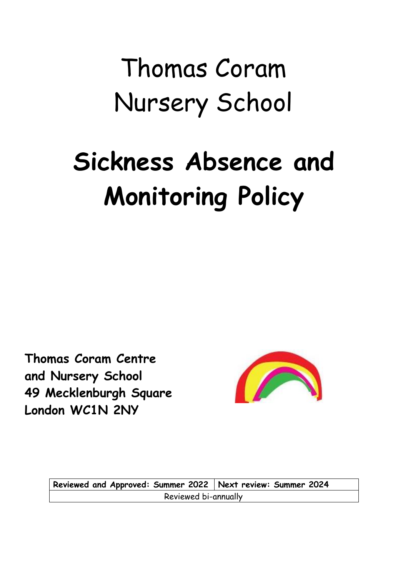# Thomas Coram Nursery School

# **Sickness Absence and Monitoring Policy**

**Thomas Coram Centre and Nursery School 49 Mecklenburgh Square London WC1N 2NY**



**Reviewed and Approved: Summer 2022 Next review: Summer 2024** Reviewed bi-annually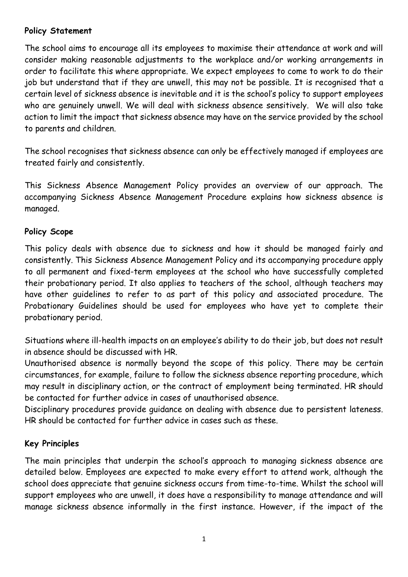# **Policy Statement**

The school aims to encourage all its employees to maximise their attendance at work and will consider making reasonable adjustments to the workplace and/or working arrangements in order to facilitate this where appropriate. We expect employees to come to work to do their job but understand that if they are unwell, this may not be possible. It is recognised that a certain level of sickness absence is inevitable and it is the school's policy to support employees who are genuinely unwell. We will deal with sickness absence sensitively. We will also take action to limit the impact that sickness absence may have on the service provided by the school to parents and children.

The school recognises that sickness absence can only be effectively managed if employees are treated fairly and consistently.

This Sickness Absence Management Policy provides an overview of our approach. The accompanying Sickness Absence Management Procedure explains how sickness absence is managed.

# **Policy Scope**

This policy deals with absence due to sickness and how it should be managed fairly and consistently. This Sickness Absence Management Policy and its accompanying procedure apply to all permanent and fixed-term employees at the school who have successfully completed their probationary period. It also applies to teachers of the school, although teachers may have other guidelines to refer to as part of this policy and associated procedure. The Probationary Guidelines should be used for employees who have yet to complete their probationary period.

Situations where ill-health impacts on an employee's ability to do their job, but does not result in absence should be discussed with HR.

Unauthorised absence is normally beyond the scope of this policy. There may be certain circumstances, for example, failure to follow the sickness absence reporting procedure, which may result in disciplinary action, or the contract of employment being terminated. HR should be contacted for further advice in cases of unauthorised absence.

Disciplinary procedures provide guidance on dealing with absence due to persistent lateness. HR should be contacted for further advice in cases such as these.

# **Key Principles**

The main principles that underpin the school's approach to managing sickness absence are detailed below. Employees are expected to make every effort to attend work, although the school does appreciate that genuine sickness occurs from time-to-time. Whilst the school will support employees who are unwell, it does have a responsibility to manage attendance and will manage sickness absence informally in the first instance. However, if the impact of the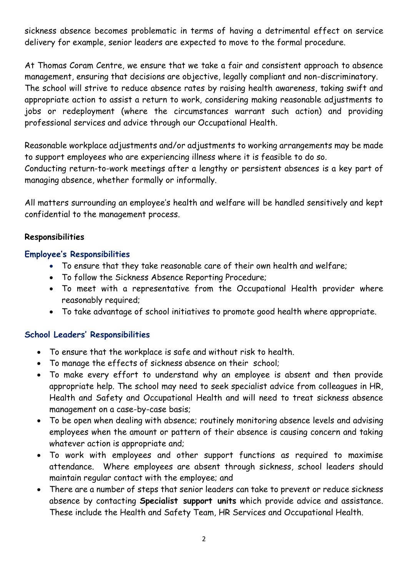sickness absence becomes problematic in terms of having a detrimental effect on service delivery for example, senior leaders are expected to move to the formal procedure.

At Thomas Coram Centre, we ensure that we take a fair and consistent approach to absence management, ensuring that decisions are objective, legally compliant and non-discriminatory. The school will strive to reduce absence rates by raising health awareness, taking swift and appropriate action to assist a return to work, considering making reasonable adjustments to jobs or redeployment (where the circumstances warrant such action) and providing professional services and advice through our Occupational Health.

Reasonable workplace adjustments and/or adjustments to working arrangements may be made to support employees who are experiencing illness where it is feasible to do so. Conducting return-to-work meetings after a lengthy or persistent absences is a key part of managing absence, whether formally or informally.

All matters surrounding an employee's health and welfare will be handled sensitively and kept confidential to the management process.

#### **Responsibilities**

#### **Employee's Responsibilities**

- To ensure that they take reasonable care of their own health and welfare;
- To follow the Sickness Absence Reporting Procedure;
- To meet with a representative from the Occupational Health provider where reasonably required;
- To take advantage of school initiatives to promote good health where appropriate.

# **School Leaders' Responsibilities**

- To ensure that the workplace is safe and without risk to health.
- To manage the effects of sickness absence on their school;
- To make every effort to understand why an employee is absent and then provide appropriate help. The school may need to seek specialist advice from colleagues in HR, Health and Safety and Occupational Health and will need to treat sickness absence management on a case-by-case basis;
- To be open when dealing with absence; routinely monitoring absence levels and advising employees when the amount or pattern of their absence is causing concern and taking whatever action is appropriate and;
- To work with employees and other support functions as required to maximise attendance. Where employees are absent through sickness, school leaders should maintain regular contact with the employee; and
- There are a number of steps that senior leaders can take to prevent or reduce sickness absence by contacting **Specialist support units** which provide advice and assistance. These include the Health and Safety Team, HR Services and Occupational Health.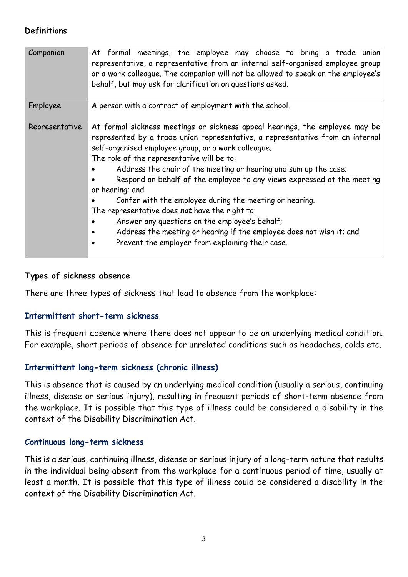#### **Definitions**

| Companion      | At formal meetings, the employee may choose to bring a trade union<br>representative, a representative from an internal self-organised employee group<br>or a work colleague. The companion will not be allowed to speak on the employee's<br>behalf, but may ask for clarification on questions asked.                                                                                                                                                                                                                                                                                                                                                                                                                          |
|----------------|----------------------------------------------------------------------------------------------------------------------------------------------------------------------------------------------------------------------------------------------------------------------------------------------------------------------------------------------------------------------------------------------------------------------------------------------------------------------------------------------------------------------------------------------------------------------------------------------------------------------------------------------------------------------------------------------------------------------------------|
| Employee       | A person with a contract of employment with the school.                                                                                                                                                                                                                                                                                                                                                                                                                                                                                                                                                                                                                                                                          |
| Representative | At formal sickness meetings or sickness appeal hearings, the employee may be<br>represented by a trade union representative, a representative from an internal<br>self-organised employee group, or a work colleague.<br>The role of the representative will be to:<br>Address the chair of the meeting or hearing and sum up the case;<br>Respond on behalf of the employee to any views expressed at the meeting<br>or hearing; and<br>Confer with the employee during the meeting or hearing.<br>The representative does not have the right to:<br>Answer any questions on the employee's behalf;<br>Address the meeting or hearing if the employee does not wish it; and<br>Prevent the employer from explaining their case. |

#### **Types of sickness absence**

There are three types of sickness that lead to absence from the workplace:

#### **Intermittent short-term sickness**

This is frequent absence where there does not appear to be an underlying medical condition. For example, short periods of absence for unrelated conditions such as headaches, colds etc.

# **Intermittent long-term sickness (chronic illness)**

This is absence that is caused by an underlying medical condition (usually a serious, continuing illness, disease or serious injury), resulting in frequent periods of short-term absence from the workplace. It is possible that this type of illness could be considered a disability in the context of the Disability Discrimination Act.

#### **Continuous long-term sickness**

This is a serious, continuing illness, disease or serious injury of a long-term nature that results in the individual being absent from the workplace for a continuous period of time, usually at least a month. It is possible that this type of illness could be considered a disability in the context of the Disability Discrimination Act.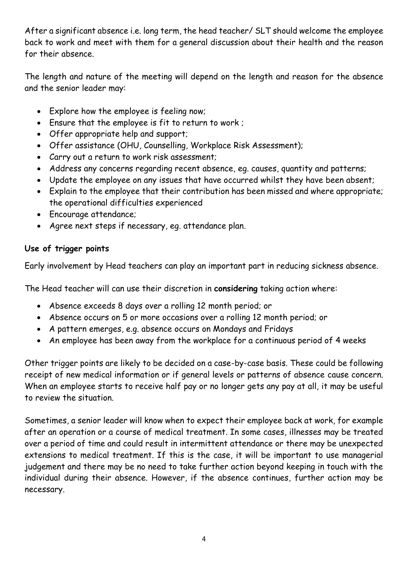After a significant absence i.e. long term, the head teacher/ SLT should welcome the employee back to work and meet with them for a general discussion about their health and the reason for their absence.

The length and nature of the meeting will depend on the length and reason for the absence and the senior leader may:

- Explore how the employee is feeling now;
- Ensure that the employee is fit to return to work ;
- Offer appropriate help and support;
- Offer assistance (OHU, Counselling, Workplace Risk Assessment);
- Carry out a return to work risk assessment;
- Address any concerns regarding recent absence, eg. causes, quantity and patterns;
- Update the employee on any issues that have occurred whilst they have been absent;
- Explain to the employee that their contribution has been missed and where appropriate; the operational difficulties experienced
- Encourage attendance;
- Agree next steps if necessary, eg. attendance plan.

# **Use of trigger points**

Early involvement by Head teachers can play an important part in reducing sickness absence.

The Head teacher will can use their discretion in **considering** taking action where:

- Absence exceeds 8 days over a rolling 12 month period; or
- Absence occurs on 5 or more occasions over a rolling 12 month period; or
- A pattern emerges, e.g. absence occurs on Mondays and Fridays
- An employee has been away from the workplace for a continuous period of 4 weeks

Other trigger points are likely to be decided on a case-by-case basis. These could be following receipt of new medical information or if general levels or patterns of absence cause concern. When an employee starts to receive half pay or no longer gets any pay at all, it may be useful to review the situation.

Sometimes, a senior leader will know when to expect their employee back at work, for example after an operation or a course of medical treatment. In some cases, illnesses may be treated over a period of time and could result in intermittent attendance or there may be unexpected extensions to medical treatment. If this is the case, it will be important to use managerial judgement and there may be no need to take further action beyond keeping in touch with the individual during their absence. However, if the absence continues, further action may be necessary.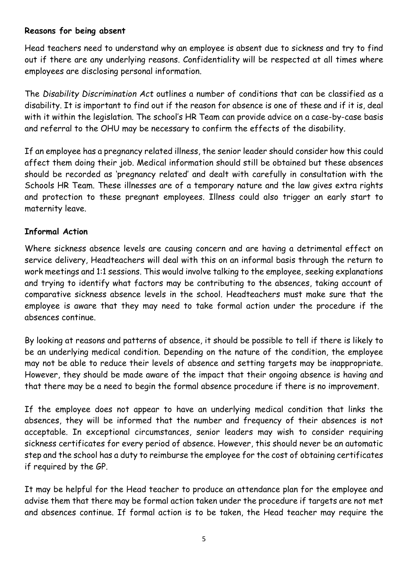#### **Reasons for being absent**

Head teachers need to understand why an employee is absent due to sickness and try to find out if there are any underlying reasons. Confidentiality will be respected at all times where employees are disclosing personal information.

The *Disability Discrimination Act* outlines a number of conditions that can be classified as a disability. It is important to find out if the reason for absence is one of these and if it is, deal with it within the legislation. The school's HR Team can provide advice on a case-by-case basis and referral to the OHU may be necessary to confirm the effects of the disability.

If an employee has a pregnancy related illness, the senior leader should consider how this could affect them doing their job. Medical information should still be obtained but these absences should be recorded as 'pregnancy related' and dealt with carefully in consultation with the Schools HR Team. These illnesses are of a temporary nature and the law gives extra rights and protection to these pregnant employees. Illness could also trigger an early start to maternity leave.

# **Informal Action**

Where sickness absence levels are causing concern and are having a detrimental effect on service delivery, Headteachers will deal with this on an informal basis through the return to work meetings and 1:1 sessions. This would involve talking to the employee, seeking explanations and trying to identify what factors may be contributing to the absences, taking account of comparative sickness absence levels in the school. Headteachers must make sure that the employee is aware that they may need to take formal action under the procedure if the absences continue.

By looking at reasons and patterns of absence, it should be possible to tell if there is likely to be an underlying medical condition. Depending on the nature of the condition, the employee may not be able to reduce their levels of absence and setting targets may be inappropriate. However, they should be made aware of the impact that their ongoing absence is having and that there may be a need to begin the formal absence procedure if there is no improvement.

If the employee does not appear to have an underlying medical condition that links the absences, they will be informed that the number and frequency of their absences is not acceptable. In exceptional circumstances, senior leaders may wish to consider requiring sickness certificates for every period of absence. However, this should never be an automatic step and the school has a duty to reimburse the employee for the cost of obtaining certificates if required by the GP.

It may be helpful for the Head teacher to produce an attendance plan for the employee and advise them that there may be formal action taken under the procedure if targets are not met and absences continue. If formal action is to be taken, the Head teacher may require the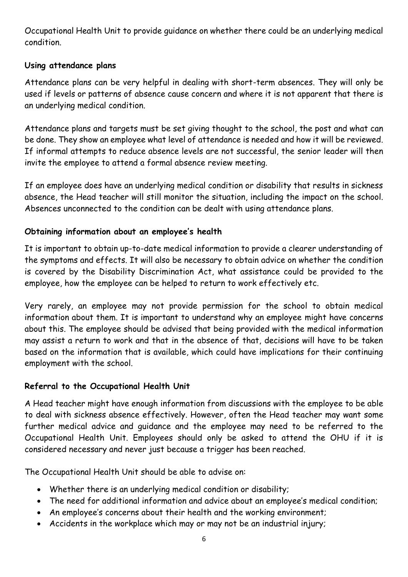Occupational Health Unit to provide guidance on whether there could be an underlying medical condition.

# **Using attendance plans**

Attendance plans can be very helpful in dealing with short-term absences. They will only be used if levels or patterns of absence cause concern and where it is not apparent that there is an underlying medical condition.

Attendance plans and targets must be set giving thought to the school, the post and what can be done. They show an employee what level of attendance is needed and how it will be reviewed. If informal attempts to reduce absence levels are not successful, the senior leader will then invite the employee to attend a formal absence review meeting.

If an employee does have an underlying medical condition or disability that results in sickness absence, the Head teacher will still monitor the situation, including the impact on the school. Absences unconnected to the condition can be dealt with using attendance plans.

# **Obtaining information about an employee's health**

It is important to obtain up-to-date medical information to provide a clearer understanding of the symptoms and effects. It will also be necessary to obtain advice on whether the condition is covered by the Disability Discrimination Act, what assistance could be provided to the employee, how the employee can be helped to return to work effectively etc.

Very rarely, an employee may not provide permission for the school to obtain medical information about them. It is important to understand why an employee might have concerns about this. The employee should be advised that being provided with the medical information may assist a return to work and that in the absence of that, decisions will have to be taken based on the information that is available, which could have implications for their continuing employment with the school.

# **Referral to the Occupational Health Unit**

A Head teacher might have enough information from discussions with the employee to be able to deal with sickness absence effectively. However, often the Head teacher may want some further medical advice and guidance and the employee may need to be referred to the Occupational Health Unit. Employees should only be asked to attend the OHU if it is considered necessary and never just because a trigger has been reached.

The Occupational Health Unit should be able to advise on:

- Whether there is an underlying medical condition or disability;
- The need for additional information and advice about an employee's medical condition;
- An employee's concerns about their health and the working environment;
- Accidents in the workplace which may or may not be an industrial injury;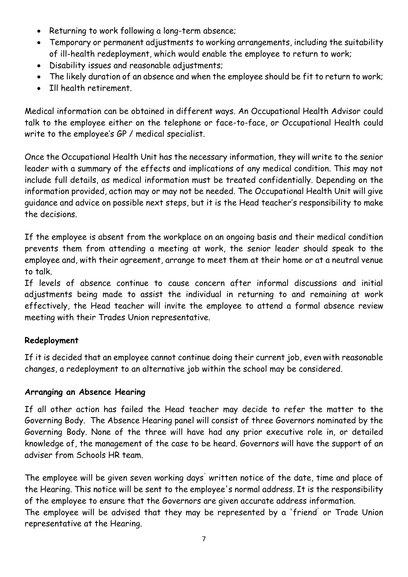- Returning to work following a long-term absence;
- Temporary or permanent adjustments to working arrangements, including the suitability of ill-health redeployment, which would enable the employee to return to work;
- Disability issues and reasonable adjustments;
- The likely duration of an absence and when the employee should be fit to return to work;
- Ill health retirement.

Medical information can be obtained in different ways. An Occupational Health Advisor could talk to the employee either on the telephone or face-to-face, or Occupational Health could write to the employee's GP / medical specialist.

Once the Occupational Health Unit has the necessary information, they will write to the senior leader with a summary of the effects and implications of any medical condition. This may not include full details, as medical information must be treated confidentially. Depending on the information provided, action may or may not be needed. The Occupational Health Unit will give guidance and advice on possible next steps, but it is the Head teacher's responsibility to make the decisions.

If the employee is absent from the workplace on an ongoing basis and their medical condition prevents them from attending a meeting at work, the senior leader should speak to the employee and, with their agreement, arrange to meet them at their home or at a neutral venue to talk.

If levels of absence continue to cause concern after informal discussions and initial adjustments being made to assist the individual in returning to and remaining at work effectively, the Head teacher will invite the employee to attend a formal absence review meeting with their Trades Union representative.

# **Redeployment**

If it is decided that an employee cannot continue doing their current job, even with reasonable changes, a redeployment to an alternative job within the school may be considered.

# **Arranging an Absence Hearing**

If all other action has failed the Head teacher may decide to refer the matter to the Governing Body. The Absence Hearing panel will consist of three Governors nominated by the Governing Body. None of the three will have had any prior executive role in, or detailed knowledge of, the management of the case to be heard. Governors will have the support of an adviser from Schools HR team.

The employee will be given seven working days' written notice of the date, time and place of the Hearing. This notice will be sent to the employee's normal address. It is the responsibility of the employee to ensure that the Governors are given accurate address information.

The employee will be advised that they may be represented by a 'friend' or Trade Union representative at the Hearing.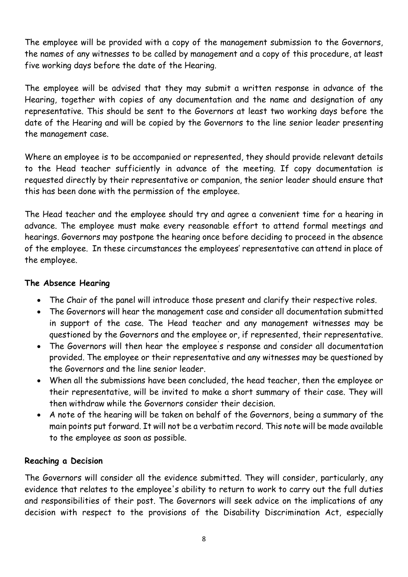The employee will be provided with a copy of the management submission to the Governors, the names of any witnesses to be called by management and a copy of this procedure, at least five working days before the date of the Hearing.

The employee will be advised that they may submit a written response in advance of the Hearing, together with copies of any documentation and the name and designation of any representative. This should be sent to the Governors at least two working days before the date of the Hearing and will be copied by the Governors to the line senior leader presenting the management case.

Where an employee is to be accompanied or represented, they should provide relevant details to the Head teacher sufficiently in advance of the meeting. If copy documentation is requested directly by their representative or companion, the senior leader should ensure that this has been done with the permission of the employee.

The Head teacher and the employee should try and agree a convenient time for a hearing in advance. The employee must make every reasonable effort to attend formal meetings and hearings. Governors may postpone the hearing once before deciding to proceed in the absence of the employee. In these circumstances the employees' representative can attend in place of the employee.

# **The Absence Hearing**

- The Chair of the panel will introduce those present and clarify their respective roles.
- The Governors will hear the management case and consider all documentation submitted in support of the case. The Head teacher and any management witnesses may be questioned by the Governors and the employee or, if represented, their representative.
- The Governors will then hear the employee' s response and consider all documentation provided. The employee or their representative and any witnesses may be questioned by the Governors and the line senior leader.
- When all the submissions have been concluded, the head teacher, then the employee or their representative, will be invited to make a short summary of their case. They will then withdraw while the Governors consider their decision.
- A note of the hearing will be taken on behalf of the Governors, being a summary of the main points put forward. It will not be a verbatim record. This note will be made available to the employee as soon as possible.

# **Reaching a Decision**

The Governors will consider all the evidence submitted. They will consider, particularly, any evidence that relates to the employee's ability to return to work to carry out the full duties and responsibilities of their post. The Governors will seek advice on the implications of any decision with respect to the provisions of the Disability Discrimination Act, especially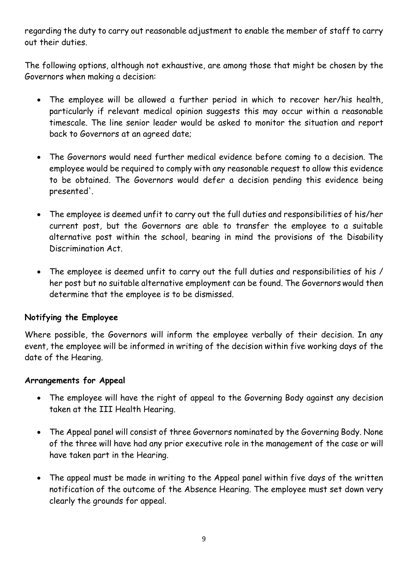regarding the duty to carry out reasonable adjustment to enable the member of staff to carry out their duties.

The following options, although not exhaustive, are among those that might be chosen by the Governors when making a decision:

- The employee will be allowed a further period in which to recover her/his health, particularly if relevant medical opinion suggests this may occur within a reasonable timescale. The line senior leader would be asked to monitor the situation and report back to Governors at an agreed date;
- The Governors would need further medical evidence before coming to a decision. The employee would be required to comply with any reasonable request to allow this evidence to be obtained. The Governors would defer a decision pending this evidence being presented'.
- The employee is deemed unfit to carry out the full duties and responsibilities of his/her current post, but the Governors are able to transfer the employee to a suitable alternative post within the school, bearing in mind the provisions of the Disability Discrimination Act.
- The employee is deemed unfit to carry out the full duties and responsibilities of his / her post but no suitable alternative employment can be found. The Governors would then determine that the employee is to be dismissed.

# **Notifying the Employee**

Where possible, the Governors will inform the employee verbally of their decision. In any event, the employee will be informed in writing of the decision within five working days of the date of the Hearing.

#### **Arrangements for Appeal**

- The employee will have the right of appeal to the Governing Body against any decision taken at the III Health Hearing.
- The Appeal panel will consist of three Governors nominated by the Governing Body. None of the three will have had any prior executive role in the management of the case or will have taken part in the Hearing.
- The appeal must be made in writing to the Appeal panel within five days of the written notification of the outcome of the Absence Hearing. The employee must set down very clearly the grounds for appeal.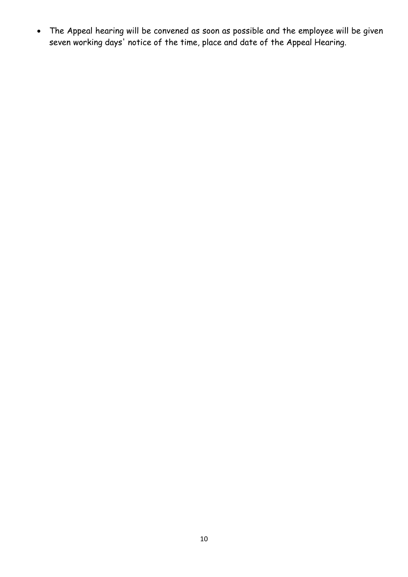The Appeal hearing will be convened as soon as possible and the employee will be given seven working days' notice of the time, place and date of the Appeal Hearing.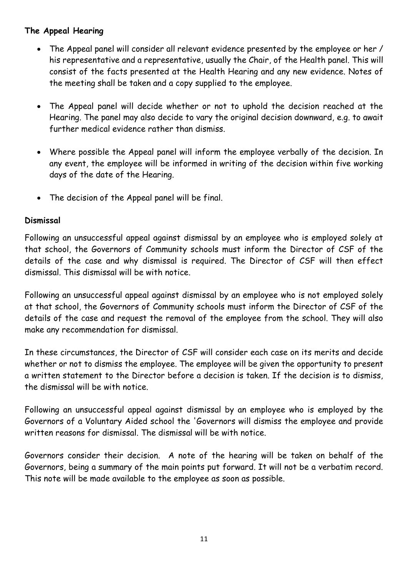# **The Appeal Hearing**

- The Appeal panel will consider all relevant evidence presented by the employee or her / his representative and a representative, usually the Chair, of the Health panel. This will consist of the facts presented at the Health Hearing and any new evidence. Notes of the meeting shall be taken and a copy supplied to the employee.
- The Appeal panel will decide whether or not to uphold the decision reached at the Hearing. The panel may also decide to vary the original decision downward, e.g. to await further medical evidence rather than dismiss.
- Where possible the Appeal panel will inform the employee verbally of the decision. In any event, the employee will be informed in writing of the decision within five working days of the date of the Hearing.
- The decision of the Appeal panel will be final.

# **Dismissal**

Following an unsuccessful appeal against dismissal by an employee who is employed solely at that school, the Governors of Community schools must inform the Director of CSF of the details of the case and why dismissal is required. The Director of CSF will then effect dismissal. This dismissal will be with notice.

Following an unsuccessful appeal against dismissal by an employee who is not employed solely at that school, the Governors of Community schools must inform the Director of CSF of the details of the case and request the removal of the employee from the school. They will also make any recommendation for dismissal.

In these circumstances, the Director of CSF will consider each case on its merits and decide whether or not to dismiss the employee. The employee will be given the opportunity to present a written statement to the Director before a decision is taken. If the decision is to dismiss, the dismissal will be with notice.

Following an unsuccessful appeal against dismissal by an employee who is employed by the Governors of a Voluntary Aided school the 'Governors will dismiss the employee and provide written reasons for dismissal. The dismissal will be with notice.

Governors consider their decision. A note of the hearing will be taken on behalf of the Governors, being a summary of the main points put forward. It will not be a verbatim record. This note will be made available to the employee as soon as possible.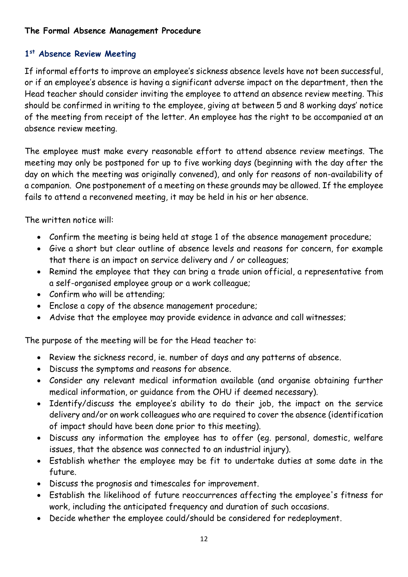# **The Formal Absence Management Procedure**

# **1 st Absence Review Meeting**

If informal efforts to improve an employee's sickness absence levels have not been successful, or if an employee's absence is having a significant adverse impact on the department, then the Head teacher should consider inviting the employee to attend an absence review meeting. This should be confirmed in writing to the employee, giving at between 5 and 8 working days' notice of the meeting from receipt of the letter. An employee has the right to be accompanied at an absence review meeting.

The employee must make every reasonable effort to attend absence review meetings. The meeting may only be postponed for up to five working days (beginning with the day after the day on which the meeting was originally convened), and only for reasons of non-availability of a companion. One postponement of a meeting on these grounds may be allowed. If the employee fails to attend a reconvened meeting, it may be held in his or her absence.

The written notice will:

- Confirm the meeting is being held at stage 1 of the absence management procedure;
- Give a short but clear outline of absence levels and reasons for concern, for example that there is an impact on service delivery and / or colleagues;
- Remind the employee that they can bring a trade union official, a representative from a self-organised employee group or a work colleague;
- Confirm who will be attending;
- Enclose a copy of the absence management procedure;
- Advise that the employee may provide evidence in advance and call witnesses;

The purpose of the meeting will be for the Head teacher to:

- Review the sickness record, ie. number of days and any patterns of absence.
- Discuss the symptoms and reasons for absence.
- Consider any relevant medical information available (and organise obtaining further medical information, or guidance from the OHU if deemed necessary).
- Identify/discuss the employee's ability to do their job, the impact on the service delivery and/or on work colleagues who are required to cover the absence (identification of impact should have been done prior to this meeting).
- Discuss any information the employee has to offer (eg. personal, domestic, welfare issues, that the absence was connected to an industrial injury).
- Establish whether the employee may be fit to undertake duties at some date in the future.
- Discuss the prognosis and timescales for improvement.
- Establish the likelihood of future reoccurrences affecting the employee's fitness for work, including the anticipated frequency and duration of such occasions.
- Decide whether the employee could/should be considered for redeployment.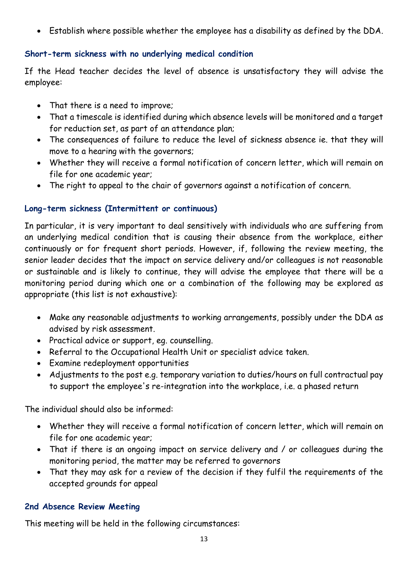Establish where possible whether the employee has a disability as defined by the DDA.

# **Short-term sickness with no underlying medical condition**

If the Head teacher decides the level of absence is unsatisfactory they will advise the employee:

- That there is a need to improve;
- That a timescale is identified during which absence levels will be monitored and a target for reduction set, as part of an attendance plan;
- The consequences of failure to reduce the level of sickness absence ie. that they will move to a hearing with the governors;
- Whether they will receive a formal notification of concern letter, which will remain on file for one academic year;
- The right to appeal to the chair of governors against a notification of concern.

# **Long-term sickness (Intermittent or continuous)**

In particular, it is very important to deal sensitively with individuals who are suffering from an underlying medical condition that is causing their absence from the workplace, either continuously or for frequent short periods. However, if, following the review meeting, the senior leader decides that the impact on service delivery and/or colleagues is not reasonable or sustainable and is likely to continue, they will advise the employee that there will be a monitoring period during which one or a combination of the following may be explored as appropriate (this list is not exhaustive):

- Make any reasonable adjustments to working arrangements, possibly under the DDA as advised by risk assessment.
- Practical advice or support, eg. counselling.
- Referral to the Occupational Health Unit or specialist advice taken.
- Examine redeployment opportunities
- Adjustments to the post e.g. temporary variation to duties/hours on full contractual pay to support the employee's re-integration into the workplace, i.e. a phased return

The individual should also be informed:

- Whether they will receive a formal notification of concern letter, which will remain on file for one academic year;
- That if there is an ongoing impact on service delivery and / or colleagues during the monitoring period, the matter may be referred to governors
- That they may ask for a review of the decision if they fulfil the requirements of the accepted grounds for appeal

# **2nd Absence Review Meeting**

This meeting will be held in the following circumstances: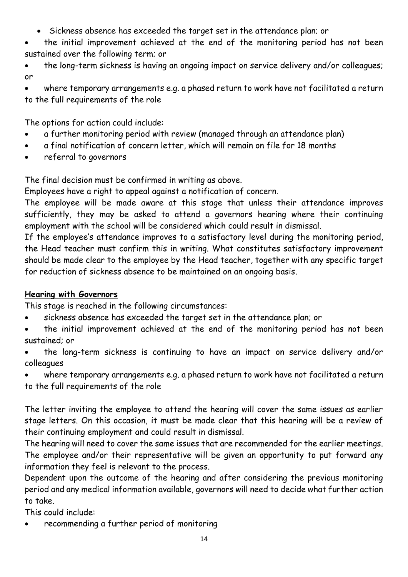- Sickness absence has exceeded the target set in the attendance plan; or
- the initial improvement achieved at the end of the monitoring period has not been sustained over the following term; or
- the long-term sickness is having an ongoing impact on service delivery and/or colleagues; or

 where temporary arrangements e.g. a phased return to work have not facilitated a return to the full requirements of the role

The options for action could include:

- a further monitoring period with review (managed through an attendance plan)
- a final notification of concern letter, which will remain on file for 18 months
- referral to governors

The final decision must be confirmed in writing as above.

Employees have a right to appeal against a notification of concern.

The employee will be made aware at this stage that unless their attendance improves sufficiently, they may be asked to attend a governors hearing where their continuing employment with the school will be considered which could result in dismissal.

If the employee's attendance improves to a satisfactory level during the monitoring period, the Head teacher must confirm this in writing. What constitutes satisfactory improvement should be made clear to the employee by the Head teacher, together with any specific target for reduction of sickness absence to be maintained on an ongoing basis.

# **Hearing with Governors**

This stage is reached in the following circumstances:

- sickness absence has exceeded the target set in the attendance plan; or
- the initial improvement achieved at the end of the monitoring period has not been sustained; or
- the long-term sickness is continuing to have an impact on service delivery and/or colleagues

 where temporary arrangements e.g. a phased return to work have not facilitated a return to the full requirements of the role

The letter inviting the employee to attend the hearing will cover the same issues as earlier stage letters. On this occasion, it must be made clear that this hearing will be a review of their continuing employment and could result in dismissal.

The hearing will need to cover the same issues that are recommended for the earlier meetings. The employee and/or their representative will be given an opportunity to put forward any information they feel is relevant to the process.

Dependent upon the outcome of the hearing and after considering the previous monitoring period and any medical information available, governors will need to decide what further action to take.

This could include:

recommending a further period of monitoring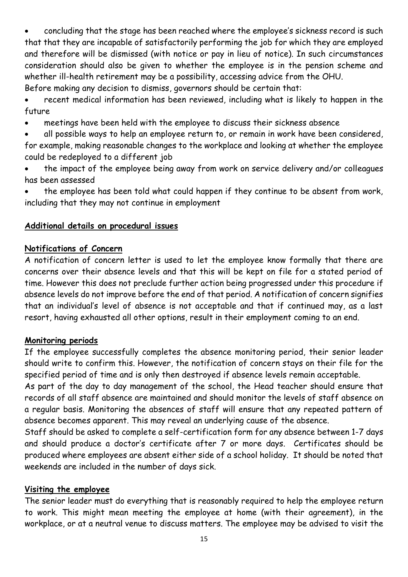concluding that the stage has been reached where the employee's sickness record is such that that they are incapable of satisfactorily performing the job for which they are employed and therefore will be dismissed (with notice or pay in lieu of notice). In such circumstances consideration should also be given to whether the employee is in the pension scheme and whether ill-health retirement may be a possibility, accessing advice from the OHU. Before making any decision to dismiss, governors should be certain that:

 recent medical information has been reviewed, including what is likely to happen in the future

meetings have been held with the employee to discuss their sickness absence

 all possible ways to help an employee return to, or remain in work have been considered, for example, making reasonable changes to the workplace and looking at whether the employee could be redeployed to a different job

 the impact of the employee being away from work on service delivery and/or colleagues has been assessed

 the employee has been told what could happen if they continue to be absent from work, including that they may not continue in employment

# **Additional details on procedural issues**

#### **Notifications of Concern**

A notification of concern letter is used to let the employee know formally that there are concerns over their absence levels and that this will be kept on file for a stated period of time. However this does not preclude further action being progressed under this procedure if absence levels do not improve before the end of that period. A notification of concern signifies that an individual's level of absence is not acceptable and that if continued may, as a last resort, having exhausted all other options, result in their employment coming to an end.

#### **Monitoring periods**

If the employee successfully completes the absence monitoring period, their senior leader should write to confirm this. However, the notification of concern stays on their file for the specified period of time and is only then destroyed if absence levels remain acceptable.

As part of the day to day management of the school, the Head teacher should ensure that records of all staff absence are maintained and should monitor the levels of staff absence on a regular basis. Monitoring the absences of staff will ensure that any repeated pattern of absence becomes apparent. This may reveal an underlying cause of the absence.

Staff should be asked to complete a self-certification form for any absence between 1-7 days and should produce a doctor's certificate after 7 or more days. Certificates should be produced where employees are absent either side of a school holiday. It should be noted that weekends are included in the number of days sick.

#### **Visiting the employee**

The senior leader must do everything that is reasonably required to help the employee return to work. This might mean meeting the employee at home (with their agreement), in the workplace, or at a neutral venue to discuss matters. The employee may be advised to visit the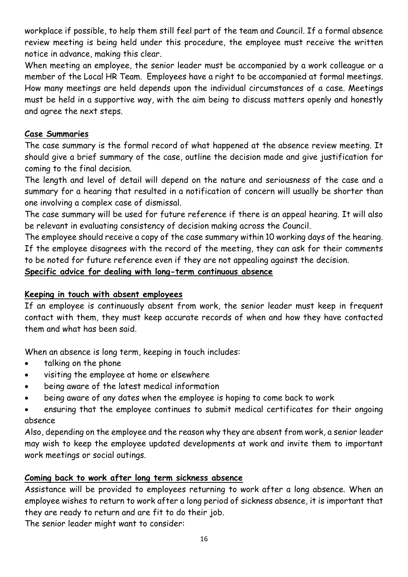workplace if possible, to help them still feel part of the team and Council. If a formal absence review meeting is being held under this procedure, the employee must receive the written notice in advance, making this clear.

When meeting an employee, the senior leader must be accompanied by a work colleague or a member of the Local HR Team. Employees have a right to be accompanied at formal meetings. How many meetings are held depends upon the individual circumstances of a case. Meetings must be held in a supportive way, with the aim being to discuss matters openly and honestly and agree the next steps.

# **Case Summaries**

The case summary is the formal record of what happened at the absence review meeting. It should give a brief summary of the case, outline the decision made and give justification for coming to the final decision.

The length and level of detail will depend on the nature and seriousness of the case and a summary for a hearing that resulted in a notification of concern will usually be shorter than one involving a complex case of dismissal.

The case summary will be used for future reference if there is an appeal hearing. It will also be relevant in evaluating consistency of decision making across the Council.

The employee should receive a copy of the case summary within 10 working days of the hearing. If the employee disagrees with the record of the meeting, they can ask for their comments to be noted for future reference even if they are not appealing against the decision.

# **Specific advice for dealing with long-term continuous absence**

# **Keeping in touch with absent employees**

If an employee is continuously absent from work, the senior leader must keep in frequent contact with them, they must keep accurate records of when and how they have contacted them and what has been said.

When an absence is long term, keeping in touch includes:

- talking on the phone
- visiting the employee at home or elsewhere
- being aware of the latest medical information
- being aware of any dates when the employee is hoping to come back to work
- ensuring that the employee continues to submit medical certificates for their ongoing absence

Also, depending on the employee and the reason why they are absent from work, a senior leader may wish to keep the employee updated developments at work and invite them to important work meetings or social outings.

# **Coming back to work after long term sickness absence**

Assistance will be provided to employees returning to work after a long absence. When an employee wishes to return to work after a long period of sickness absence, it is important that they are ready to return and are fit to do their job.

The senior leader might want to consider: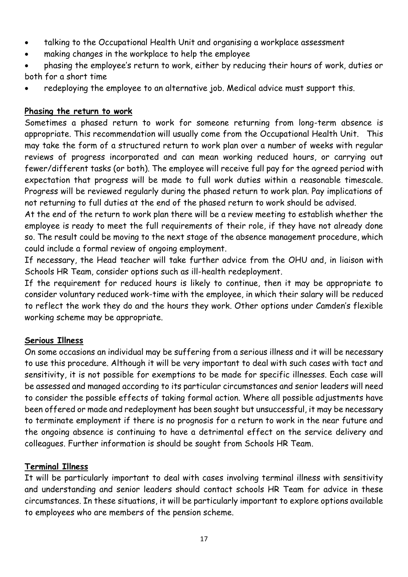- talking to the Occupational Health Unit and organising a workplace assessment
- making changes in the workplace to help the employee
- phasing the employee's return to work, either by reducing their hours of work, duties or both for a short time
- redeploying the employee to an alternative job. Medical advice must support this.

# **Phasing the return to work**

Sometimes a phased return to work for someone returning from long-term absence is appropriate. This recommendation will usually come from the Occupational Health Unit. This may take the form of a structured return to work plan over a number of weeks with regular reviews of progress incorporated and can mean working reduced hours, or carrying out fewer/different tasks (or both). The employee will receive full pay for the agreed period with expectation that progress will be made to full work duties within a reasonable timescale. Progress will be reviewed regularly during the phased return to work plan. Pay implications of not returning to full duties at the end of the phased return to work should be advised.

At the end of the return to work plan there will be a review meeting to establish whether the employee is ready to meet the full requirements of their role, if they have not already done so. The result could be moving to the next stage of the absence management procedure, which could include a formal review of ongoing employment.

If necessary, the Head teacher will take further advice from the OHU and, in liaison with Schools HR Team, consider options such as ill-health redeployment.

If the requirement for reduced hours is likely to continue, then it may be appropriate to consider voluntary reduced work-time with the employee, in which their salary will be reduced to reflect the work they do and the hours they work. Other options under Camden's flexible working scheme may be appropriate.

# **Serious Illness**

On some occasions an individual may be suffering from a serious illness and it will be necessary to use this procedure. Although it will be very important to deal with such cases with tact and sensitivity, it is not possible for exemptions to be made for specific illnesses. Each case will be assessed and managed according to its particular circumstances and senior leaders will need to consider the possible effects of taking formal action. Where all possible adjustments have been offered or made and redeployment has been sought but unsuccessful, it may be necessary to terminate employment if there is no prognosis for a return to work in the near future and the ongoing absence is continuing to have a detrimental effect on the service delivery and colleagues. Further information is should be sought from Schools HR Team.

# **Terminal Illness**

It will be particularly important to deal with cases involving terminal illness with sensitivity and understanding and senior leaders should contact schools HR Team for advice in these circumstances. In these situations, it will be particularly important to explore options available to employees who are members of the pension scheme.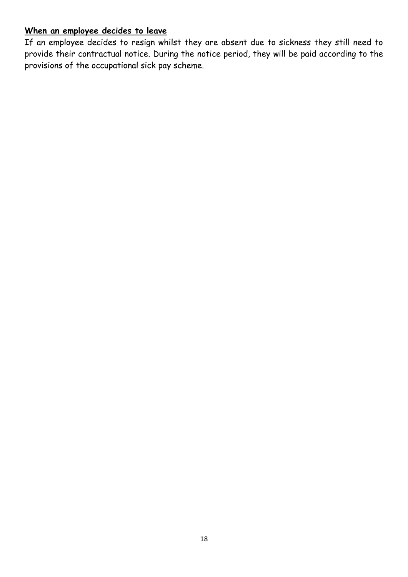# **When an employee decides to leave**

If an employee decides to resign whilst they are absent due to sickness they still need to provide their contractual notice. During the notice period, they will be paid according to the provisions of the occupational sick pay scheme.